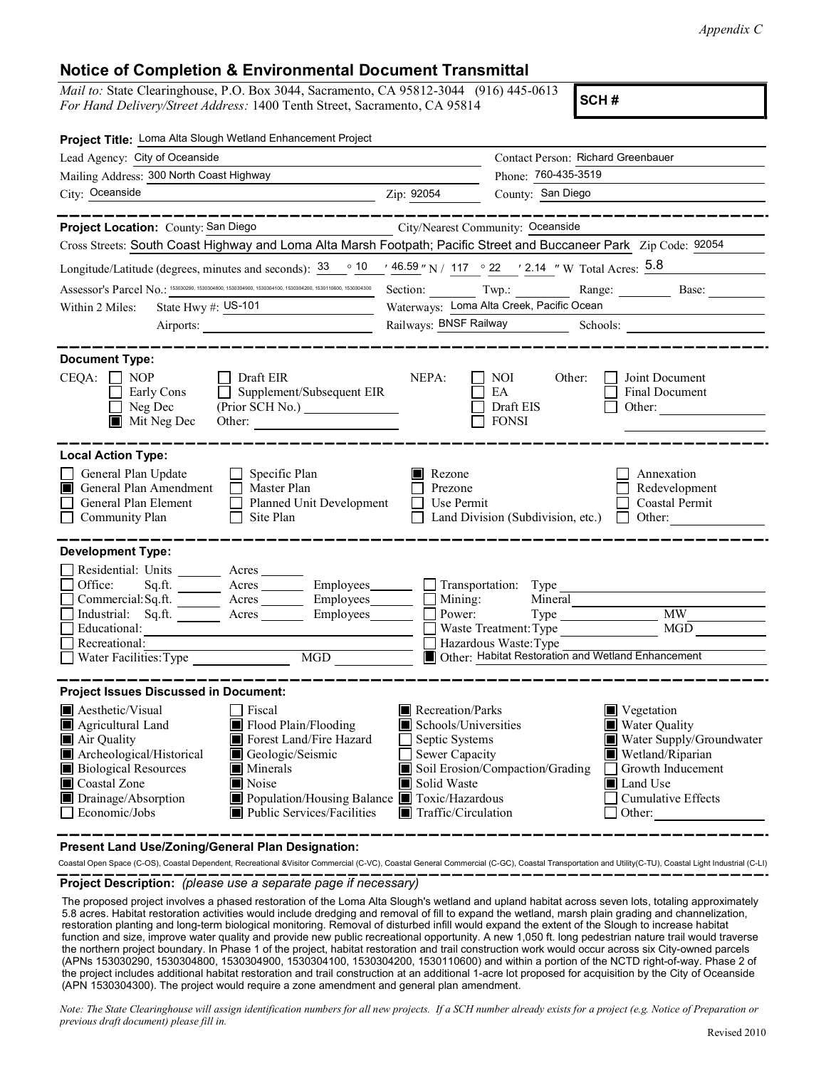## Notice of Completion & Environmental Document Transmittal

|                                                                                                                                                                                       | Appendix C                                                                                                         |
|---------------------------------------------------------------------------------------------------------------------------------------------------------------------------------------|--------------------------------------------------------------------------------------------------------------------|
|                                                                                                                                                                                       |                                                                                                                    |
| <b>Notice of Completion &amp; Environmental Document Transmittal</b>                                                                                                                  |                                                                                                                    |
| Mail to: State Clearinghouse, P.O. Box 3044, Sacramento, CA 95812-3044 (916) 445-0613<br>For Hand Delivery/Street Address: 1400 Tenth Street, Sacramento, CA 95814                    | SCH#                                                                                                               |
| Project Title: Loma Alta Slough Wetland Enhancement Project                                                                                                                           |                                                                                                                    |
| Lead Agency: City of Oceanside                                                                                                                                                        | Contact Person: Richard Greenbauer                                                                                 |
| Mailing Address: 300 North Coast Highway                                                                                                                                              | Phone: 760-435-3519                                                                                                |
| City: Oceanside<br><u>Zip: 92054</u>                                                                                                                                                  | County: San Diego                                                                                                  |
| -------------<br>Project Location: County: San Diego                                                                                                                                  | -----------------<br>City/Nearest Community: Oceanside                                                             |
|                                                                                                                                                                                       | Cross Streets: South Coast Highway and Loma Alta Marsh Footpath; Pacific Street and Buccaneer Park Zip Code: 92054 |
| Longitude/Latitude (degrees, minutes and seconds): $\frac{33}{10}$ $\frac{10}{10}$ $\frac{46.59}{10}$ N / 117 $\degree$ 22 $\degree$ / 2.14 $\degree$ W Total Acres: $\frac{5.8}{10}$ |                                                                                                                    |
| Assessor's Parcel No.: 153030290, 1530304800, 1530304900, 1530304100, 1530304200, 1530110600, 1530304300                                                                              | Section: Twp.: Twp.: Range: Base:                                                                                  |
| State Hwy $\#$ : US-101<br>Within 2 Miles:                                                                                                                                            | Waterways: Loma Alta Creek, Pacific Ocean                                                                          |
| Airports:                                                                                                                                                                             | Railways: BNSF Railway Schools:                                                                                    |
| <b>Document Type:</b>                                                                                                                                                                 |                                                                                                                    |
| $CEQA: \Box NOP$<br>$\Box$ Draft EIR                                                                                                                                                  | NEPA:<br>$\Box$ NOI<br>Joint Document<br>Other:<br>$\mathbf{1}$                                                    |
| $\Box$ Supplement/Subsequent EIR<br>Early Cons                                                                                                                                        | $\Box$ EA<br>Final Document                                                                                        |
| $\Box$ Neg Dec<br>(Prior SCH No.)                                                                                                                                                     | $\Box$ Draft EIS<br>Other:                                                                                         |
| $\blacksquare$ Mit Neg Dec<br>Other:                                                                                                                                                  | <b>FONSI</b>                                                                                                       |
| <b>Local Action Type:</b>                                                                                                                                                             |                                                                                                                    |
| General Plan Update<br>$\Box$ Specific Plan                                                                                                                                           | Rezone<br>Annexation                                                                                               |
| General Plan Amendment   Master Plan<br>General Plan Element                                                                                                                          | $\Box$ Prezone<br>Redevelopment<br>$\Box$ Use Permit<br>Coastal Permit                                             |
| $\Box$ Planned Unit Development<br>$\Box$ Site Plan<br>$\Box$ Community Plan                                                                                                          | $\Box$ Land Division (Subdivision, etc.) $\Box$ Other:                                                             |
|                                                                                                                                                                                       |                                                                                                                    |
| <b>Development Type:</b>                                                                                                                                                              |                                                                                                                    |
| Residential: Units<br>Acres                                                                                                                                                           |                                                                                                                    |
| Employees_<br>Office:<br>Sq.ft.<br>Acres<br>$\Box$<br>Commercial: Sq.ft.<br>Employees_<br>Acres                                                                                       | $\Box$ Transportation:<br>Type<br>$\Box$ Mining:<br>Mineral                                                        |
| Industrial: Sq.ft.<br>Employees<br>Acres                                                                                                                                              | <b>MW</b><br>$\Box$<br>Power:<br>$Type \_$                                                                         |
| Educational:                                                                                                                                                                          | MGD<br>Waste Treatment: Type                                                                                       |
| Recreational:<br>$\overline{\text{MGD}}$<br>Water Facilities: Type                                                                                                                    | Hazardous Waste: Type<br>Other: Habitat Restoration and Wetland Enhancement                                        |
|                                                                                                                                                                                       |                                                                                                                    |
| <b>Project Issues Discussed in Document:</b>                                                                                                                                          |                                                                                                                    |
| Aesthetic/Visual<br>Fiscal                                                                                                                                                            | Recreation/Parks<br>Vegetation                                                                                     |
| Flood Plain/Flooding<br>Agricultural Land                                                                                                                                             | Schools/Universities<br>Water Quality                                                                              |
| Forest Land/Fire Hazard<br>Air Quality<br>Archeological/Historical<br>Geologic/Seismic                                                                                                | Water Supply/Groundwater<br>Septic Systems<br>Sewer Capacity<br>Wetland/Riparian                                   |
|                                                                                                                                                                                       | Soil Erosion/Compaction/Grading<br>Growth Inducement                                                               |
|                                                                                                                                                                                       |                                                                                                                    |
| $\blacksquare$ Minerals<br><b>Biological Resources</b><br>Coastal Zone<br>Noise                                                                                                       | Solid Waste<br>Land Use                                                                                            |
| $\Box$<br>Drainage/Absorption<br>Population/Housing Balance Toxic/Hazardous<br>$\Box$ Economic/Jobs<br>Public Services/Facilities                                                     | <b>Cumulative Effects</b><br>Traffic/Circulation<br>$\Box$ Other:                                                  |

**Present Land Use/Zoning/General Plan Designation:**<br>Coastal Open Space (C-OS), Coastal Dependent, Recreational &Visitor Commercial (C-VC), Coastal General Commercial (C-GC), Coastal Transportation and Utility(C-TU), Coasta

**Project Description:**  *(please use a separate page if necessary)*<br>The proposed project involves a phased restoration of the Loma Alta Slough's wetland and upland habitat across seven lots, totaling approximately 5.8 acres. Habitat restoration activities would include dredging and removal of fill to expand the wetland, marsh plain grading and channelization, restoration planting and long-term biological monitoring. Removal of disturbed infill would expand the extent of the Slough to increase habitat function and size, improve water quality and provide new public recreational opportunity. A new 1,050 ft. long pedestrian nature trail would traverse the northern project boundary. In Phase 1 of the project, habitat restoration and trail construction work would occur across six City-owned parcels (APNs 153030290, 1530304800, 1530304900, 1530304100, 1530304200, 1530110600) and within a portion of the NCTD right-of-way. Phase 2 of the project includes additional habitat restoration and trail construction at an additional 1-acre lot proposed for acquisition by the City of Oceanside (APN 1530304300). The project would require a zone amendment and general plan amendment.

Note: The State Clearinghouse will assign identification numbers for all new projects. If a SCH number already exists for a project (e.g. Notice of Preparation or previous draft document) please fill in.